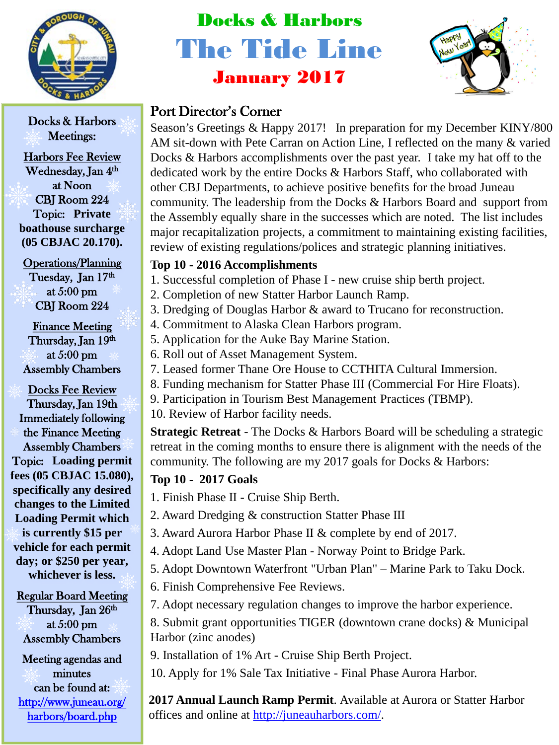

Docks & Harbors Meetings:

Harbors Fee Review Wednesday, Jan 4<sup>th</sup> at Noon CBJ Room 224 Topic: **Private boathouse surcharge (05 CBJAC 20.170).**

Operations/Planning Tuesday, Jan 17th at 5:00 pm CBJ Room 224

Finance Meeting Thursday, Jan 19th at 5:00 pm Assembly Chambers

Docks Fee Review Thursday, Jan 19th Immediately following the Finance Meeting Assembly Chambers Topic: **Loading permit fees (05 CBJAC 15.080), specifically any desired changes to the Limited Loading Permit which is currently \$15 per vehicle for each permit day; or \$250 per year, whichever is less.**

Regular Board Meeting Thursday, Jan 26<sup>th</sup> at 5:00 pm Assembly Chambers

Meeting agendas and minutes can be found at: [http://www.juneau.org/](http://www.juneau.org/harbors/board.php)  [harbors/board.php](http://www.juneau.org/harbors/board.php) 

# Docks & Harbors The Tide Line January 2017



# Port Director's Corner

Season's Greetings & Happy 2017! In preparation for my December KINY/800 AM sit-down with Pete Carran on Action Line, I reflected on the many & varied Docks & Harbors accomplishments over the past year. I take my hat off to the dedicated work by the entire Docks & Harbors Staff, who collaborated with other CBJ Departments, to achieve positive benefits for the broad Juneau community. The leadership from the Docks & Harbors Board and support from the Assembly equally share in the successes which are noted. The list includes major recapitalization projects, a commitment to maintaining existing facilities, review of existing regulations/polices and strategic planning initiatives.

## **Top 10 - 2016 Accomplishments**

- 1. Successful completion of Phase I new cruise ship berth project.
- 2. Completion of new Statter Harbor Launch Ramp.
- 3. Dredging of Douglas Harbor & award to Trucano for reconstruction.
- 4. Commitment to Alaska Clean Harbors program.
- 5. Application for the Auke Bay Marine Station.
- 6. Roll out of Asset Management System.
- 7. Leased former Thane Ore House to CCTHITA Cultural Immersion.
- 8. Funding mechanism for Statter Phase III (Commercial For Hire Floats).
- 9. Participation in Tourism Best Management Practices (TBMP).
- 10. Review of Harbor facility needs.

**Strategic Retreat** - The Docks & Harbors Board will be scheduling a strategic retreat in the coming months to ensure there is alignment with the needs of the community. The following are my 2017 goals for Docks & Harbors:

### **Top 10 - 2017 Goals**

- 1. Finish Phase II Cruise Ship Berth.
- 2. Award Dredging & construction Statter Phase III
- 3. Award Aurora Harbor Phase II & complete by end of 2017.
- 4. Adopt Land Use Master Plan Norway Point to Bridge Park.
- 5. Adopt Downtown Waterfront "Urban Plan" Marine Park to Taku Dock.
- 6. Finish Comprehensive Fee Reviews.
- 7. Adopt necessary regulation changes to improve the harbor experience.

8. Submit grant opportunities TIGER (downtown crane docks) & Municipal Harbor (zinc anodes)

- 9. Installation of 1% Art Cruise Ship Berth Project.
- 10. Apply for 1% Sale Tax Initiative Final Phase Aurora Harbor.

**2017 Annual Launch Ramp Permit**. Available at Aurora or Statter Harbor offices and online at<http://juneauharbors.com/>.